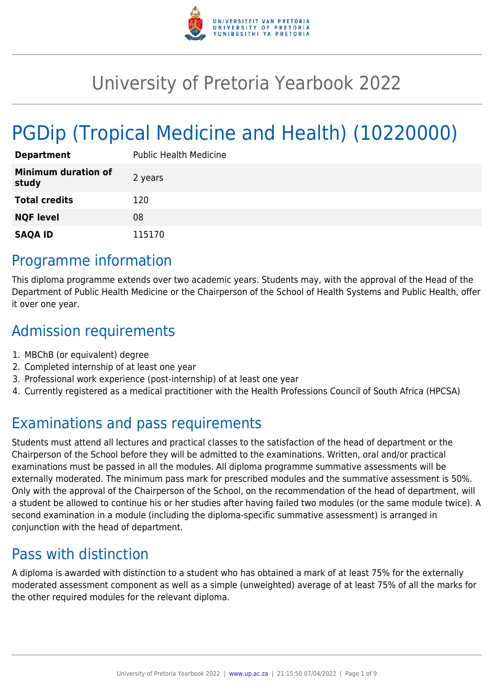

# University of Pretoria Yearbook 2022

# PGDip (Tropical Medicine and Health) (10220000)

| <b>Department</b>                   | <b>Public Health Medicine</b> |
|-------------------------------------|-------------------------------|
| <b>Minimum duration of</b><br>study | 2 years                       |
| <b>Total credits</b>                | 120                           |
| <b>NQF level</b>                    | 08                            |
| <b>SAQA ID</b>                      | 115170                        |

# Programme information

This diploma programme extends over two academic years. Students may, with the approval of the Head of the Department of Public Health Medicine or the Chairperson of the School of Health Systems and Public Health, offer it over one year.

# Admission requirements

- 1. MBChB (or equivalent) degree
- 2. Completed internship of at least one year
- 3. Professional work experience (post-internship) of at least one year
- 4. Currently registered as a medical practitioner with the Health Professions Council of South Africa (HPCSA)

# Examinations and pass requirements

Students must attend all lectures and practical classes to the satisfaction of the head of department or the Chairperson of the School before they will be admitted to the examinations. Written, oral and/or practical examinations must be passed in all the modules. All diploma programme summative assessments will be externally moderated. The minimum pass mark for prescribed modules and the summative assessment is 50%. Only with the approval of the Chairperson of the School, on the recommendation of the head of department, will a student be allowed to continue his or her studies after having failed two modules (or the same module twice). A second examination in a module (including the diploma-specific summative assessment) is arranged in conjunction with the head of department.

# Pass with distinction

A diploma is awarded with distinction to a student who has obtained a mark of at least 75% for the externally moderated assessment component as well as a simple (unweighted) average of at least 75% of all the marks for the other required modules for the relevant diploma.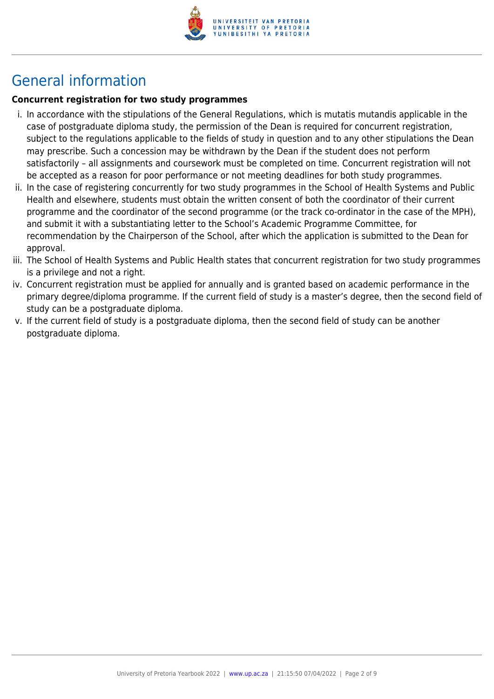

# General information

### **Concurrent registration for two study programmes**

- i. In accordance with the stipulations of the General Regulations, which is mutatis mutandis applicable in the case of postgraduate diploma study, the permission of the Dean is required for concurrent registration, subject to the regulations applicable to the fields of study in question and to any other stipulations the Dean may prescribe. Such a concession may be withdrawn by the Dean if the student does not perform satisfactorily – all assignments and coursework must be completed on time. Concurrent registration will not be accepted as a reason for poor performance or not meeting deadlines for both study programmes.
- ii. In the case of registering concurrently for two study programmes in the School of Health Systems and Public Health and elsewhere, students must obtain the written consent of both the coordinator of their current programme and the coordinator of the second programme (or the track co-ordinator in the case of the MPH), and submit it with a substantiating letter to the School's Academic Programme Committee, for recommendation by the Chairperson of the School, after which the application is submitted to the Dean for approval.
- iii. The School of Health Systems and Public Health states that concurrent registration for two study programmes is a privilege and not a right.
- iv. Concurrent registration must be applied for annually and is granted based on academic performance in the primary degree/diploma programme. If the current field of study is a master's degree, then the second field of study can be a postgraduate diploma.
- v. If the current field of study is a postgraduate diploma, then the second field of study can be another postgraduate diploma.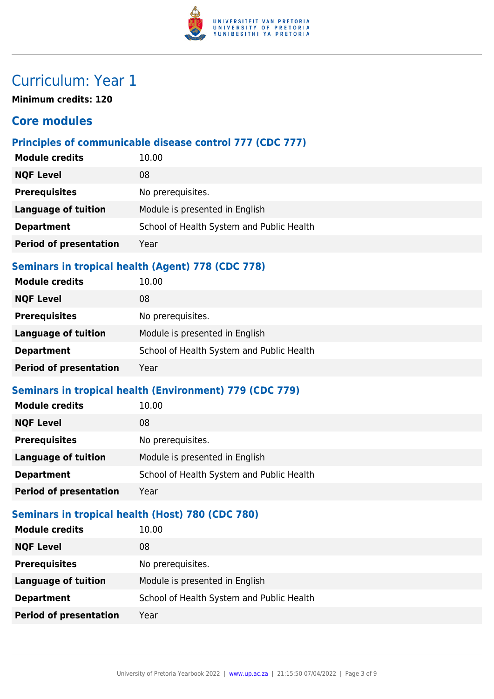

# Curriculum: Year 1

**Minimum credits: 120**

## **Core modules**

### **Principles of communicable disease control 777 (CDC 777)**

| <b>Module credits</b>                                    | 10.00                                     |  |
|----------------------------------------------------------|-------------------------------------------|--|
| <b>NQF Level</b>                                         | 08                                        |  |
| <b>Prerequisites</b>                                     | No prerequisites.                         |  |
| <b>Language of tuition</b>                               | Module is presented in English            |  |
| <b>Department</b>                                        | School of Health System and Public Health |  |
| <b>Period of presentation</b>                            | Year                                      |  |
| <b>Seminars in tropical health (Agent) 778 (CDC 778)</b> |                                           |  |
| <b>Module credits</b>                                    | 10.00                                     |  |

| <b>NQF Level</b>              | 08                                        |
|-------------------------------|-------------------------------------------|
| <b>Prerequisites</b>          | No prerequisites.                         |
| <b>Language of tuition</b>    | Module is presented in English            |
| <b>Department</b>             | School of Health System and Public Health |
| <b>Period of presentation</b> | Year                                      |

### **Seminars in tropical health (Environment) 779 (CDC 779)**

| <b>Module credits</b>         | 10.00                                     |
|-------------------------------|-------------------------------------------|
| <b>NQF Level</b>              | 08                                        |
| <b>Prerequisites</b>          | No prerequisites.                         |
| <b>Language of tuition</b>    | Module is presented in English            |
| <b>Department</b>             | School of Health System and Public Health |
| <b>Period of presentation</b> | Year                                      |
|                               |                                           |

### **Seminars in tropical health (Host) 780 (CDC 780)**

| <b>Module credits</b>         | 10.00                                     |
|-------------------------------|-------------------------------------------|
| <b>NQF Level</b>              | 08                                        |
| <b>Prerequisites</b>          | No prerequisites.                         |
| <b>Language of tuition</b>    | Module is presented in English            |
| <b>Department</b>             | School of Health System and Public Health |
| <b>Period of presentation</b> | Year                                      |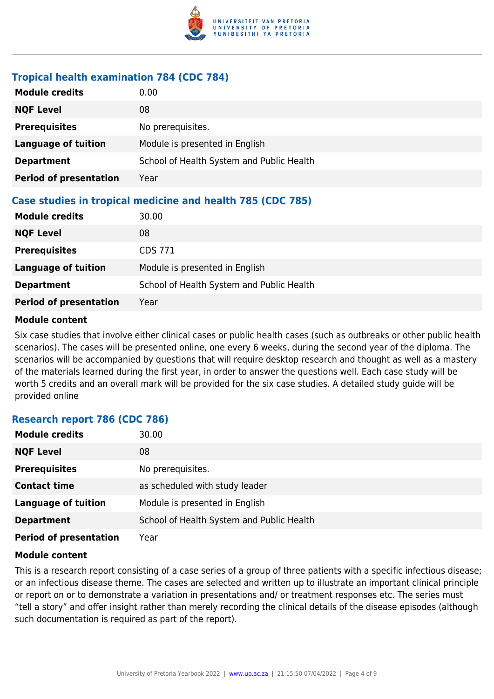

#### **Tropical health examination 784 (CDC 784)**

| <b>Module credits</b>         | 0.00                                                       |
|-------------------------------|------------------------------------------------------------|
| <b>NQF Level</b>              | 08                                                         |
| <b>Prerequisites</b>          | No prerequisites.                                          |
| <b>Language of tuition</b>    | Module is presented in English                             |
| <b>Department</b>             | School of Health System and Public Health                  |
| <b>Period of presentation</b> | Year                                                       |
|                               | Case studies in tropical medicine and health 785 (CDC 785) |
| <b>Module credits</b>         | 30.00                                                      |
| <b>NQF Level</b>              | 08                                                         |
| <b>Prerequisites</b>          | <b>CDS 771</b>                                             |
| <b>Language of tuition</b>    | Module is presented in English                             |
| <b>Department</b>             | School of Health System and Public Health                  |
| <b>Period of presentation</b> | Year                                                       |

#### **Module content**

Six case studies that involve either clinical cases or public health cases (such as outbreaks or other public health scenarios). The cases will be presented online, one every 6 weeks, during the second year of the diploma. The scenarios will be accompanied by questions that will require desktop research and thought as well as a mastery of the materials learned during the first year, in order to answer the questions well. Each case study will be worth 5 credits and an overall mark will be provided for the six case studies. A detailed study guide will be provided online

#### **Research report 786 (CDC 786)**

| <b>Module credits</b>         | 30.00                                     |
|-------------------------------|-------------------------------------------|
| <b>NQF Level</b>              | 08                                        |
| <b>Prerequisites</b>          | No prerequisites.                         |
| <b>Contact time</b>           | as scheduled with study leader            |
| <b>Language of tuition</b>    | Module is presented in English            |
| <b>Department</b>             | School of Health System and Public Health |
| <b>Period of presentation</b> | Year                                      |

#### **Module content**

This is a research report consisting of a case series of a group of three patients with a specific infectious disease; or an infectious disease theme. The cases are selected and written up to illustrate an important clinical principle or report on or to demonstrate a variation in presentations and/ or treatment responses etc. The series must "tell a story" and offer insight rather than merely recording the clinical details of the disease episodes (although such documentation is required as part of the report).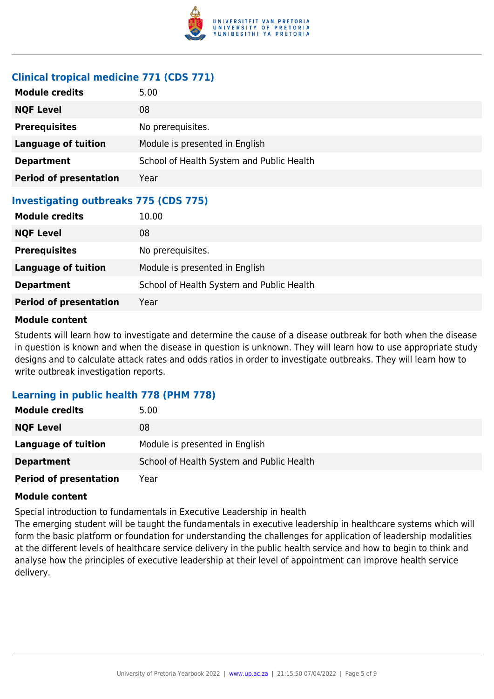

#### **Clinical tropical medicine 771 (CDS 771)**

| <b>Module credits</b>                        | 5.00                                      |
|----------------------------------------------|-------------------------------------------|
| <b>NQF Level</b>                             | 08                                        |
| <b>Prerequisites</b>                         | No prerequisites.                         |
| <b>Language of tuition</b>                   | Module is presented in English            |
| <b>Department</b>                            | School of Health System and Public Health |
| <b>Period of presentation</b>                | Year                                      |
| <b>Investigating outbreaks 775 (CDS 775)</b> |                                           |
| <b>Module credits</b>                        | 10.00                                     |
| <b>NQF Level</b>                             | 08                                        |
| <b>Prerequisites</b>                         | No prerequisites.                         |
| <b>Language of tuition</b>                   | Module is presented in English            |
| <b>Department</b>                            | School of Health System and Public Health |
| <b>Period of presentation</b>                | Year                                      |

#### **Module content**

Students will learn how to investigate and determine the cause of a disease outbreak for both when the disease in question is known and when the disease in question is unknown. They will learn how to use appropriate study designs and to calculate attack rates and odds ratios in order to investigate outbreaks. They will learn how to write outbreak investigation reports.

#### **Learning in public health 778 (PHM 778)**

| <b>Module credits</b>         | 5.00                                      |
|-------------------------------|-------------------------------------------|
| <b>NQF Level</b>              | 08                                        |
| Language of tuition           | Module is presented in English            |
| <b>Department</b>             | School of Health System and Public Health |
| <b>Period of presentation</b> | Year                                      |

#### **Module content**

Special introduction to fundamentals in Executive Leadership in health

The emerging student will be taught the fundamentals in executive leadership in healthcare systems which will form the basic platform or foundation for understanding the challenges for application of leadership modalities at the different levels of healthcare service delivery in the public health service and how to begin to think and analyse how the principles of executive leadership at their level of appointment can improve health service delivery.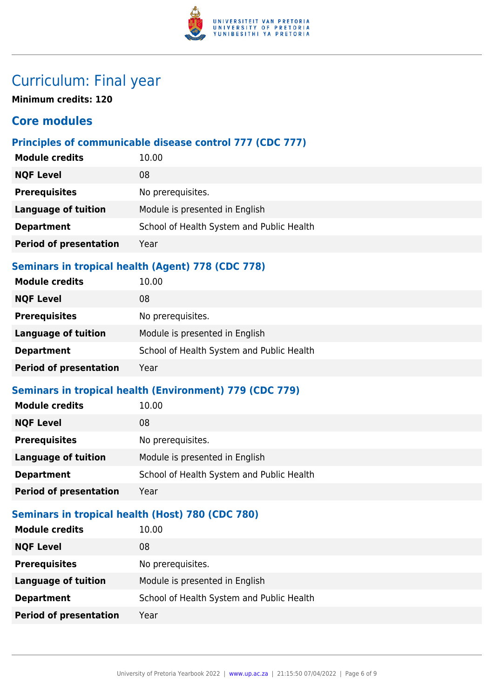

# Curriculum: Final year

**Minimum credits: 120**

# **Core modules**

### **Principles of communicable disease control 777 (CDC 777)**

| <b>Module credits</b>                             | 10.00                                     |
|---------------------------------------------------|-------------------------------------------|
| <b>NQF Level</b>                                  | 08                                        |
| <b>Prerequisites</b>                              | No prerequisites.                         |
| Language of tuition                               | Module is presented in English            |
| <b>Department</b>                                 | School of Health System and Public Health |
| <b>Period of presentation</b>                     | Year                                      |
| Saminars in tranical health (Agent) 778 (CDC 778) |                                           |

#### **Seminars in tropical health (Agent) 778 (CDC 778)**

| <b>Module credits</b>         | 10.00                                     |
|-------------------------------|-------------------------------------------|
| <b>NQF Level</b>              | 08                                        |
| <b>Prerequisites</b>          | No prerequisites.                         |
| <b>Language of tuition</b>    | Module is presented in English            |
| <b>Department</b>             | School of Health System and Public Health |
| <b>Period of presentation</b> | Year                                      |

### **Seminars in tropical health (Environment) 779 (CDC 779)**

| <b>Module credits</b>         | 10.00                                     |
|-------------------------------|-------------------------------------------|
| <b>NQF Level</b>              | 08                                        |
| <b>Prerequisites</b>          | No prerequisites.                         |
| <b>Language of tuition</b>    | Module is presented in English            |
| <b>Department</b>             | School of Health System and Public Health |
| <b>Period of presentation</b> | Year                                      |
|                               |                                           |

### **Seminars in tropical health (Host) 780 (CDC 780)**

| <b>Module credits</b>         | 10.00                                     |
|-------------------------------|-------------------------------------------|
| <b>NQF Level</b>              | 08                                        |
| <b>Prerequisites</b>          | No prerequisites.                         |
| <b>Language of tuition</b>    | Module is presented in English            |
| <b>Department</b>             | School of Health System and Public Health |
| <b>Period of presentation</b> | Year                                      |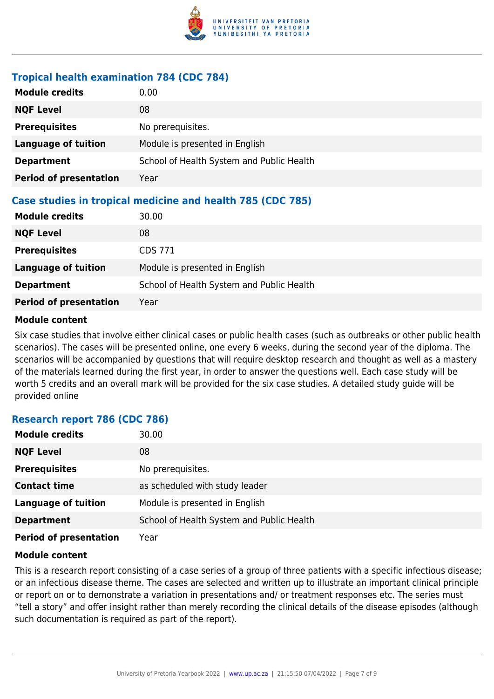

#### **Tropical health examination 784 (CDC 784)**

| <b>Module credits</b>                                      | 0.00                                      |  |
|------------------------------------------------------------|-------------------------------------------|--|
| <b>NQF Level</b>                                           | 08                                        |  |
| <b>Prerequisites</b>                                       | No prerequisites.                         |  |
| <b>Language of tuition</b>                                 | Module is presented in English            |  |
| <b>Department</b>                                          | School of Health System and Public Health |  |
| <b>Period of presentation</b>                              | Year                                      |  |
| Case studies in tropical medicine and health 785 (CDC 785) |                                           |  |
| <b>Module credits</b>                                      | 30.00                                     |  |
| <b>NQF Level</b>                                           | 08                                        |  |
| <b>Prerequisites</b>                                       | <b>CDS 771</b>                            |  |
| <b>Language of tuition</b>                                 | Module is presented in English            |  |
| <b>Department</b>                                          | School of Health System and Public Health |  |
| <b>Period of presentation</b>                              | Year                                      |  |

#### **Module content**

Six case studies that involve either clinical cases or public health cases (such as outbreaks or other public health scenarios). The cases will be presented online, one every 6 weeks, during the second year of the diploma. The scenarios will be accompanied by questions that will require desktop research and thought as well as a mastery of the materials learned during the first year, in order to answer the questions well. Each case study will be worth 5 credits and an overall mark will be provided for the six case studies. A detailed study guide will be provided online

#### **Research report 786 (CDC 786)**

| <b>Module credits</b>         | 30.00                                     |
|-------------------------------|-------------------------------------------|
| <b>NQF Level</b>              | 08                                        |
| <b>Prerequisites</b>          | No prerequisites.                         |
| <b>Contact time</b>           | as scheduled with study leader            |
| <b>Language of tuition</b>    | Module is presented in English            |
| <b>Department</b>             | School of Health System and Public Health |
| <b>Period of presentation</b> | Year                                      |

#### **Module content**

This is a research report consisting of a case series of a group of three patients with a specific infectious disease; or an infectious disease theme. The cases are selected and written up to illustrate an important clinical principle or report on or to demonstrate a variation in presentations and/ or treatment responses etc. The series must "tell a story" and offer insight rather than merely recording the clinical details of the disease episodes (although such documentation is required as part of the report).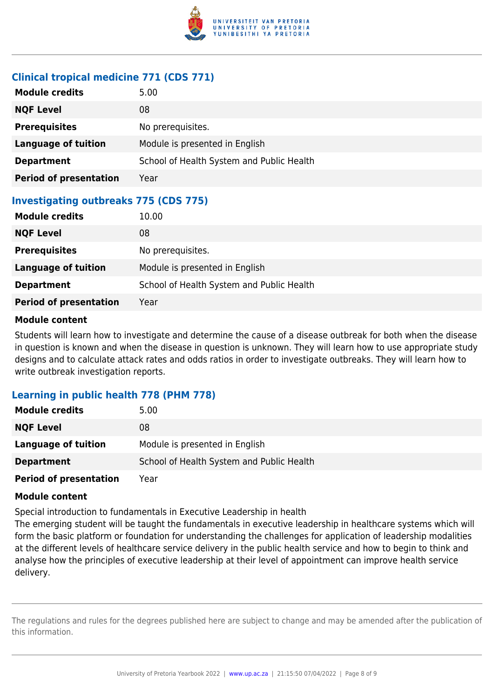

## **Clinical tropical medicine 771 (CDS 771)**

| <b>Module credits</b>                        | 5.00                                      |  |
|----------------------------------------------|-------------------------------------------|--|
| <b>NQF Level</b>                             | 08                                        |  |
| <b>Prerequisites</b>                         | No prerequisites.                         |  |
| <b>Language of tuition</b>                   | Module is presented in English            |  |
| <b>Department</b>                            | School of Health System and Public Health |  |
| <b>Period of presentation</b>                | Year                                      |  |
| <b>Investigating outbreaks 775 (CDS 775)</b> |                                           |  |
| <b>Module credits</b>                        | 10.00                                     |  |
| <b>NQF Level</b>                             | 08                                        |  |
| <b>Prerequisites</b>                         | No prerequisites.                         |  |
| <b>Language of tuition</b>                   | Module is presented in English            |  |
| <b>Department</b>                            | School of Health System and Public Health |  |
| <b>Period of presentation</b>                | Year                                      |  |

#### **Module content**

Students will learn how to investigate and determine the cause of a disease outbreak for both when the disease in question is known and when the disease in question is unknown. They will learn how to use appropriate study designs and to calculate attack rates and odds ratios in order to investigate outbreaks. They will learn how to write outbreak investigation reports.

#### **Learning in public health 778 (PHM 778)**

| <b>Module credits</b>         | 5.00                                      |
|-------------------------------|-------------------------------------------|
| <b>NQF Level</b>              | 08                                        |
| Language of tuition           | Module is presented in English            |
| <b>Department</b>             | School of Health System and Public Health |
| <b>Period of presentation</b> | Year                                      |

#### **Module content**

Special introduction to fundamentals in Executive Leadership in health

The emerging student will be taught the fundamentals in executive leadership in healthcare systems which will form the basic platform or foundation for understanding the challenges for application of leadership modalities at the different levels of healthcare service delivery in the public health service and how to begin to think and analyse how the principles of executive leadership at their level of appointment can improve health service delivery.

The regulations and rules for the degrees published here are subject to change and may be amended after the publication of this information.